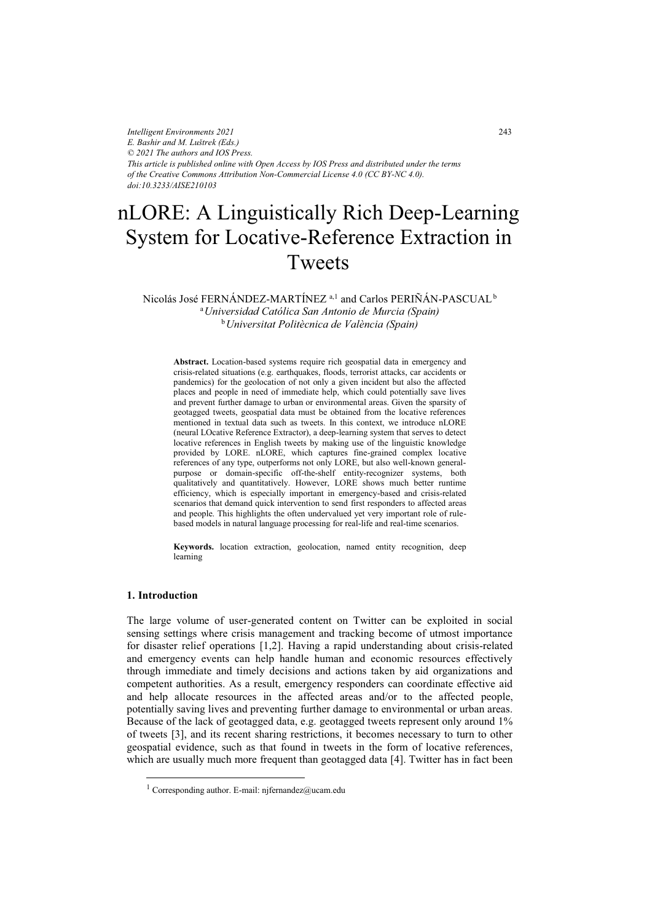*Intelligent Environments 2021 E. Bashir and M. Luštrek (Eds.) © 2021 The authors and IOS Press. This article is published online with Open Access by IOS Press and distributed under the terms of the Creative Commons Attribution Non-Commercial License 4.0 (CC BY-NC 4.0). doi:10.3233/AISE210103*

# nLORE: A Linguistically Rich Deep-Learning System for Locative-Reference Extraction in Tweets

Nicolás José FERNÁNDEZ-MARTÍNEZ<sup>a,1</sup> and Carlos PERIÑÁN-PASCUAL<sup>b</sup> <sup>a</sup>*Universidad Católica San Antonio de Murcia (Spain)*  <sup>b</sup>*Universitat Politècnica de València (Spain)* 

**Abstract.** Location-based systems require rich geospatial data in emergency and crisis-related situations (e.g. earthquakes, floods, terrorist attacks, car accidents or pandemics) for the geolocation of not only a given incident but also the affected places and people in need of immediate help, which could potentially save lives and prevent further damage to urban or environmental areas. Given the sparsity of geotagged tweets, geospatial data must be obtained from the locative references mentioned in textual data such as tweets. In this context, we introduce nLORE (neural LOcative Reference Extractor), a deep-learning system that serves to detect locative references in English tweets by making use of the linguistic knowledge provided by LORE. nLORE, which captures fine-grained complex locative references of any type, outperforms not only LORE, but also well-known generalpurpose or domain-specific off-the-shelf entity-recognizer systems, both qualitatively and quantitatively. However, LORE shows much better runtime efficiency, which is especially important in emergency-based and crisis-related scenarios that demand quick intervention to send first responders to affected areas and people. This highlights the often undervalued yet very important role of rulebased models in natural language processing for real-life and real-time scenarios.

**Keywords.** location extraction, geolocation, named entity recognition, deep learning

# **1. Introduction**

-

The large volume of user-generated content on Twitter can be exploited in social sensing settings where crisis management and tracking become of utmost importance for disaster relief operations [1,2]. Having a rapid understanding about crisis-related and emergency events can help handle human and economic resources effectively through immediate and timely decisions and actions taken by aid organizations and competent authorities. As a result, emergency responders can coordinate effective aid and help allocate resources in the affected areas and/or to the affected people, potentially saving lives and preventing further damage to environmental or urban areas. Because of the lack of geotagged data, e.g. geotagged tweets represent only around 1% of tweets [3], and its recent sharing restrictions, it becomes necessary to turn to other geospatial evidence, such as that found in tweets in the form of locative references, which are usually much more frequent than geotagged data [4]. Twitter has in fact been

<sup>&</sup>lt;sup>1</sup> Corresponding author. E-mail: njfernandez@ucam.edu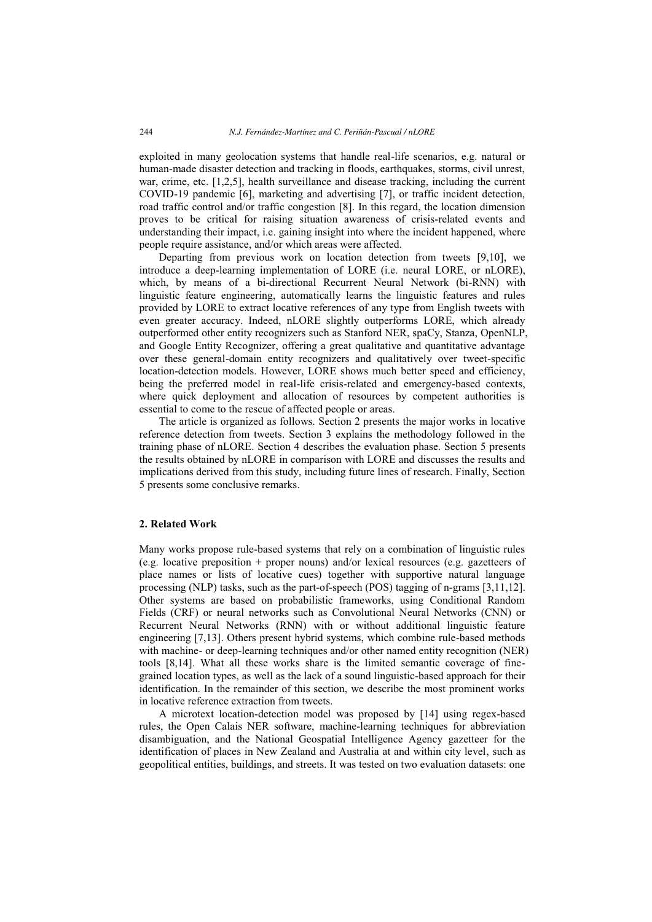exploited in many geolocation systems that handle real-life scenarios, e.g. natural or human-made disaster detection and tracking in floods, earthquakes, storms, civil unrest, war, crime, etc. [1,2,5], health surveillance and disease tracking, including the current COVID-19 pandemic [6], marketing and advertising [7], or traffic incident detection, road traffic control and/or traffic congestion [8]. In this regard, the location dimension proves to be critical for raising situation awareness of crisis-related events and understanding their impact, i.e. gaining insight into where the incident happened, where people require assistance, and/or which areas were affected.

Departing from previous work on location detection from tweets [9,10], we introduce a deep-learning implementation of LORE (i.e. neural LORE, or nLORE), which, by means of a bi-directional Recurrent Neural Network (bi-RNN) with linguistic feature engineering, automatically learns the linguistic features and rules provided by LORE to extract locative references of any type from English tweets with even greater accuracy. Indeed, nLORE slightly outperforms LORE, which already outperformed other entity recognizers such as Stanford NER, spaCy, Stanza, OpenNLP, and Google Entity Recognizer, offering a great qualitative and quantitative advantage over these general-domain entity recognizers and qualitatively over tweet-specific location-detection models. However, LORE shows much better speed and efficiency, being the preferred model in real-life crisis-related and emergency-based contexts, where quick deployment and allocation of resources by competent authorities is essential to come to the rescue of affected people or areas.

The article is organized as follows. Section 2 presents the major works in locative reference detection from tweets. Section 3 explains the methodology followed in the training phase of nLORE. Section 4 describes the evaluation phase. Section 5 presents the results obtained by nLORE in comparison with LORE and discusses the results and implications derived from this study, including future lines of research. Finally, Section 5 presents some conclusive remarks.

## **2. Related Work**

Many works propose rule-based systems that rely on a combination of linguistic rules (e.g. locative preposition + proper nouns) and/or lexical resources (e.g. gazetteers of place names or lists of locative cues) together with supportive natural language processing (NLP) tasks, such as the part-of-speech (POS) tagging of n-grams [3,11,12]. Other systems are based on probabilistic frameworks, using Conditional Random Fields (CRF) or neural networks such as Convolutional Neural Networks (CNN) or Recurrent Neural Networks (RNN) with or without additional linguistic feature engineering [7,13]. Others present hybrid systems, which combine rule-based methods with machine- or deep-learning techniques and/or other named entity recognition (NER) tools [8,14]. What all these works share is the limited semantic coverage of finegrained location types, as well as the lack of a sound linguistic-based approach for their identification. In the remainder of this section, we describe the most prominent works in locative reference extraction from tweets.

A microtext location-detection model was proposed by [14] using regex-based rules, the Open Calais NER software, machine-learning techniques for abbreviation disambiguation, and the National Geospatial Intelligence Agency gazetteer for the identification of places in New Zealand and Australia at and within city level, such as geopolitical entities, buildings, and streets. It was tested on two evaluation datasets: one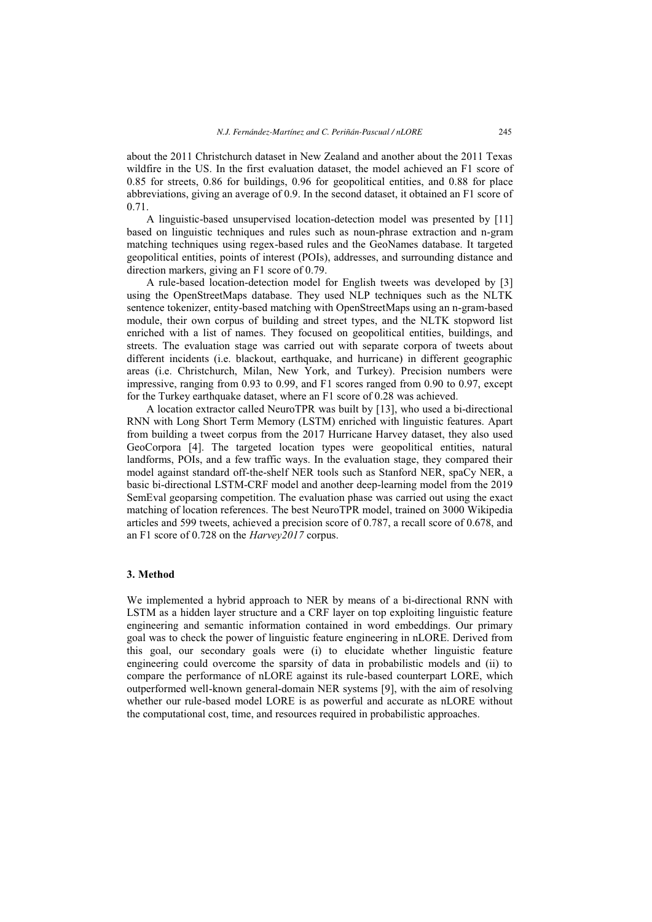about the 2011 Christchurch dataset in New Zealand and another about the 2011 Texas wildfire in the US. In the first evaluation dataset, the model achieved an F1 score of 0.85 for streets, 0.86 for buildings, 0.96 for geopolitical entities, and 0.88 for place abbreviations, giving an average of 0.9. In the second dataset, it obtained an F1 score of 0.71.

A linguistic-based unsupervised location-detection model was presented by [11] based on linguistic techniques and rules such as noun-phrase extraction and n-gram matching techniques using regex-based rules and the GeoNames database. It targeted geopolitical entities, points of interest (POIs), addresses, and surrounding distance and direction markers, giving an F1 score of 0.79.

A rule-based location-detection model for English tweets was developed by [3] using the OpenStreetMaps database. They used NLP techniques such as the NLTK sentence tokenizer, entity-based matching with OpenStreetMaps using an n-gram-based module, their own corpus of building and street types, and the NLTK stopword list enriched with a list of names. They focused on geopolitical entities, buildings, and streets. The evaluation stage was carried out with separate corpora of tweets about different incidents (i.e. blackout, earthquake, and hurricane) in different geographic areas (i.e. Christchurch, Milan, New York, and Turkey). Precision numbers were impressive, ranging from 0.93 to 0.99, and F1 scores ranged from 0.90 to 0.97, except for the Turkey earthquake dataset, where an F1 score of 0.28 was achieved.

A location extractor called NeuroTPR was built by [13], who used a bi-directional RNN with Long Short Term Memory (LSTM) enriched with linguistic features. Apart from building a tweet corpus from the 2017 Hurricane Harvey dataset, they also used GeoCorpora [4]. The targeted location types were geopolitical entities, natural landforms, POIs, and a few traffic ways. In the evaluation stage, they compared their model against standard off-the-shelf NER tools such as Stanford NER, spaCy NER, a basic bi-directional LSTM-CRF model and another deep-learning model from the 2019 SemEval geoparsing competition. The evaluation phase was carried out using the exact matching of location references. The best NeuroTPR model, trained on 3000 Wikipedia articles and 599 tweets, achieved a precision score of 0.787, a recall score of 0.678, and an F1 score of 0.728 on the *Harvey2017* corpus.

#### **3. Method**

We implemented a hybrid approach to NER by means of a bi-directional RNN with LSTM as a hidden layer structure and a CRF layer on top exploiting linguistic feature engineering and semantic information contained in word embeddings. Our primary goal was to check the power of linguistic feature engineering in nLORE. Derived from this goal, our secondary goals were (i) to elucidate whether linguistic feature engineering could overcome the sparsity of data in probabilistic models and (ii) to compare the performance of nLORE against its rule-based counterpart LORE, which outperformed well-known general-domain NER systems [9], with the aim of resolving whether our rule-based model LORE is as powerful and accurate as nLORE without the computational cost, time, and resources required in probabilistic approaches.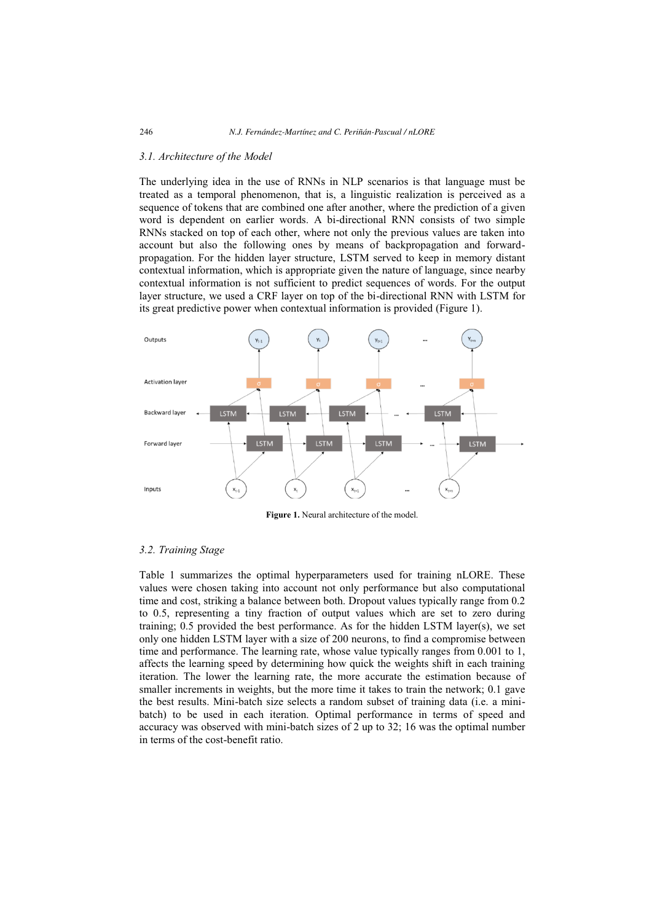#### *3.1. Architecture of the Model*

The underlying idea in the use of RNNs in NLP scenarios is that language must be treated as a temporal phenomenon, that is, a linguistic realization is perceived as a sequence of tokens that are combined one after another, where the prediction of a given word is dependent on earlier words. A bi-directional RNN consists of two simple RNNs stacked on top of each other, where not only the previous values are taken into account but also the following ones by means of backpropagation and forwardpropagation. For the hidden layer structure, LSTM served to keep in memory distant contextual information, which is appropriate given the nature of language, since nearby contextual information is not sufficient to predict sequences of words. For the output layer structure, we used a CRF layer on top of the bi-directional RNN with LSTM for its great predictive power when contextual information is provided (Figure 1).



**Figure 1.** Neural architecture of the model.

#### *3.2. Training Stage*

Table 1 summarizes the optimal hyperparameters used for training nLORE. These values were chosen taking into account not only performance but also computational time and cost, striking a balance between both. Dropout values typically range from 0.2 to 0.5, representing a tiny fraction of output values which are set to zero during training; 0.5 provided the best performance. As for the hidden LSTM layer(s), we set only one hidden LSTM layer with a size of 200 neurons, to find a compromise between time and performance. The learning rate, whose value typically ranges from 0.001 to 1, affects the learning speed by determining how quick the weights shift in each training iteration. The lower the learning rate, the more accurate the estimation because of smaller increments in weights, but the more time it takes to train the network; 0.1 gave the best results. Mini-batch size selects a random subset of training data (i.e. a minibatch) to be used in each iteration. Optimal performance in terms of speed and accuracy was observed with mini-batch sizes of 2 up to 32; 16 was the optimal number in terms of the cost-benefit ratio.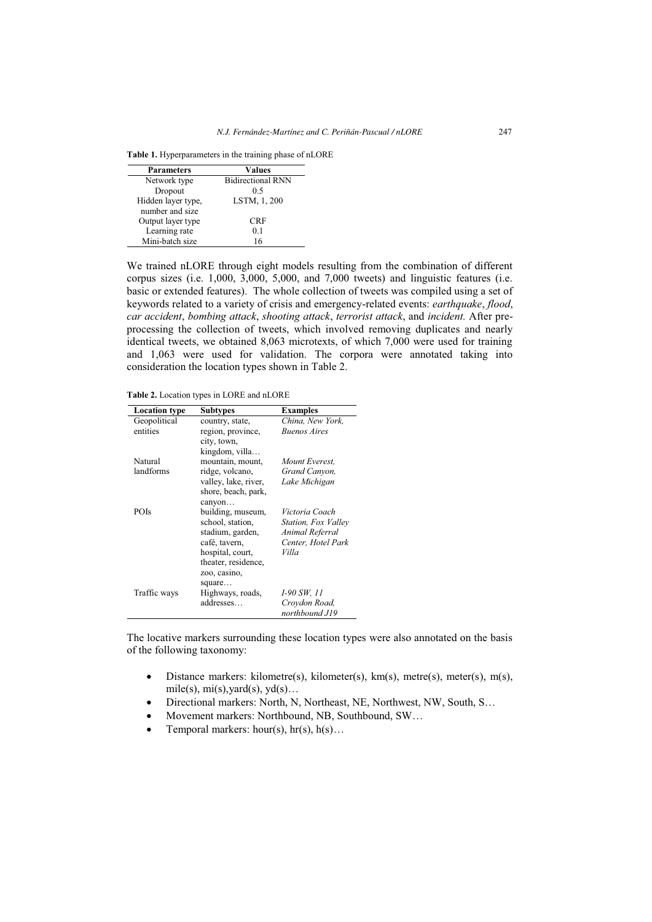| <b>Parameters</b>  | Values                   |
|--------------------|--------------------------|
| Network type       | <b>Bidirectional RNN</b> |
| Dropout            | 0.5                      |
| Hidden layer type, | LSTM, 1, 200             |
| number and size    |                          |
| Output layer type  | <b>CRF</b>               |
| Learning rate      | 0.1                      |
| Mini-batch size    | 16                       |

**Table 1.** Hyperparameters in the training phase of nLORE

We trained nLORE through eight models resulting from the combination of different corpus sizes (i.e. 1,000, 3,000, 5,000, and 7,000 tweets) and linguistic features (i.e. basic or extended features). The whole collection of tweets was compiled using a set of keywords related to a variety of crisis and emergency-related events: *earthquake*, *flood*, *car accident*, *bombing attack*, *shooting attack*, *terrorist attack*, and *incident.* After preprocessing the collection of tweets, which involved removing duplicates and nearly identical tweets, we obtained 8,063 microtexts, of which 7,000 were used for training and 1,063 were used for validation. The corpora were annotated taking into consideration the location types shown in Table 2.

**Table 2.** Location types in LORE and nLORE

| <b>Location type</b> | <b>Subtypes</b>      | <b>Examples</b>     |
|----------------------|----------------------|---------------------|
| Geopolitical         | country, state,      | China, New York,    |
| entities             | region, province,    | <b>Buenos Aires</b> |
|                      | city, town,          |                     |
|                      | kingdom, villa       |                     |
| <b>Natural</b>       | mountain, mount,     | Mount Everest.      |
| landforms            | ridge, volcano,      | Grand Canyon,       |
|                      | valley, lake, river, | Lake Michigan       |
|                      | shore, beach, park,  |                     |
|                      | canyon               |                     |
| <b>POIs</b>          | building, museum,    | Victoria Coach      |
|                      | school, station,     | Station, Fox Valley |
|                      | stadium, garden,     | Animal Referral     |
|                      | café, tavern,        | Center, Hotel Park  |
|                      | hospital, court,     | Villa               |
|                      | theater, residence,  |                     |
|                      | zoo, casino,         |                     |
|                      | square               |                     |
| Traffic ways         | Highways, roads,     | 1-90 SW, 11         |
|                      | addresses            | Croydon Road,       |
|                      |                      | northbound J19      |

The locative markers surrounding these location types were also annotated on the basis of the following taxonomy:

- $\bullet$ Distance markers: kilometre(s), kilometer(s), km(s), metre(s), meter(s), m(s), mile(s),  $mi(s)$ , yard(s),  $yd(s)$ ...
- $\bullet$ Directional markers: North, N, Northeast, NE, Northwest, NW, South, S…
- $\bullet$ Movement markers: Northbound, NB, Southbound, SW…
- $\bullet$ Temporal markers: hour(s),  $hr(s)$ ,  $h(s)$ ...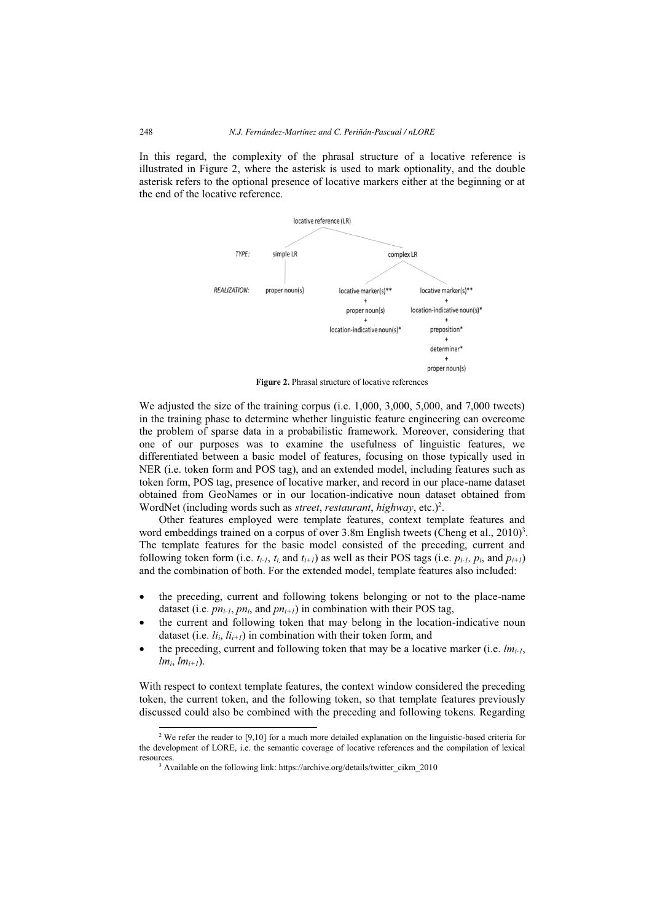In this regard, the complexity of the phrasal structure of a locative reference is illustrated in Figure 2, where the asterisk is used to mark optionality, and the double asterisk refers to the optional presence of locative markers either at the beginning or at the end of the locative reference.



**Figure 2.** Phrasal structure of locative references

We adjusted the size of the training corpus (i.e. 1,000, 3,000, 5,000, and 7,000 tweets) in the training phase to determine whether linguistic feature engineering can overcome the problem of sparse data in a probabilistic framework. Moreover, considering that one of our purposes was to examine the usefulness of linguistic features, we differentiated between a basic model of features, focusing on those typically used in NER (i.e. token form and POS tag), and an extended model, including features such as token form, POS tag, presence of locative marker, and record in our place-name dataset obtained from GeoNames or in our location-indicative noun dataset obtained from WordNet (including words such as *street*, *restaurant*, *highway*, etc.)<sup>2</sup>.

Other features employed were template features, context template features and word embeddings trained on a corpus of over  $3.8$ m English tweets (Cheng et al.,  $2010$ <sup>3</sup>. The template features for the basic model consisted of the preceding, current and following token form (i.e.  $t_{i-1}$ ,  $t_i$  and  $t_{i+1}$ ) as well as their POS tags (i.e.  $p_{i-1}$ ,  $p_i$ , and  $p_{i+1}$ ) and the combination of both. For the extended model, template features also included:

- the preceding, current and following tokens belonging or not to the place-name dataset (i.e.  $pn_{i-1}$ ,  $pn_i$ , and  $pn_{i+1}$ ) in combination with their POS tag,
- $\bullet$  the current and following token that may belong in the location-indicative noun dataset (i.e.  $li_i$ ,  $li_{i+1}$ ) in combination with their token form, and
- the preceding, current and following token that may be a locative marker (i.e.  $lm_{i-1}$ ,  $lm_i, lm_{i+1}$ ).

With respect to context template features, the context window considered the preceding token, the current token, and the following token, so that template features previously discussed could also be combined with the preceding and following tokens. Regarding

j

<sup>&</sup>lt;sup>2</sup> We refer the reader to  $[9,10]$  for a much more detailed explanation on the linguistic-based criteria for the development of LORE, i.e. the semantic coverage of locative references and the compilation of lexical resources.

<sup>&</sup>lt;sup>3</sup> Available on the following link: https://archive.org/details/twitter\_cikm\_2010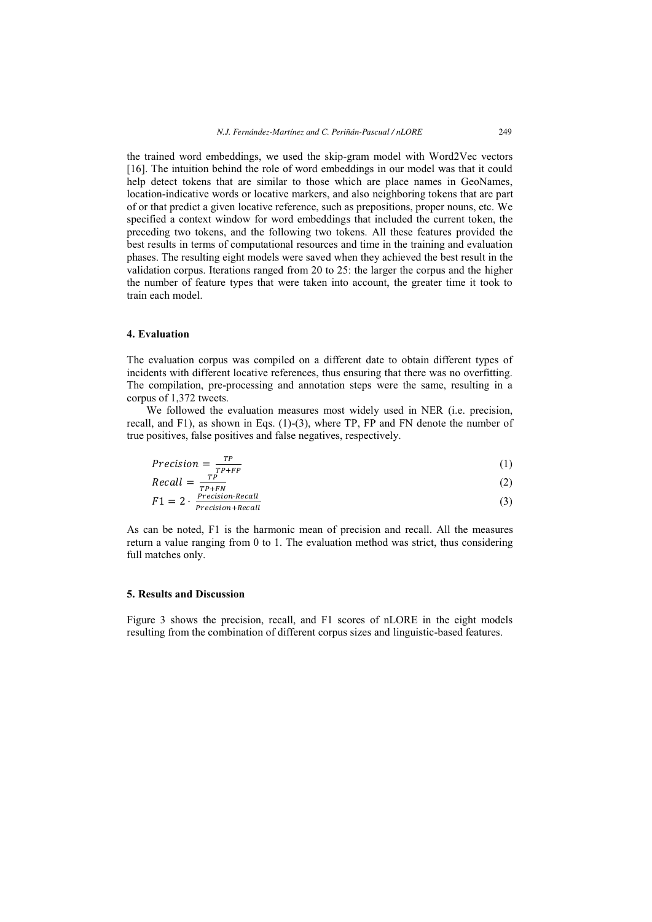the trained word embeddings, we used the skip-gram model with Word2Vec vectors [16]. The intuition behind the role of word embeddings in our model was that it could help detect tokens that are similar to those which are place names in GeoNames, location-indicative words or locative markers, and also neighboring tokens that are part of or that predict a given locative reference, such as prepositions, proper nouns, etc. We specified a context window for word embeddings that included the current token, the preceding two tokens, and the following two tokens. All these features provided the best results in terms of computational resources and time in the training and evaluation phases. The resulting eight models were saved when they achieved the best result in the validation corpus. Iterations ranged from 20 to 25: the larger the corpus and the higher the number of feature types that were taken into account, the greater time it took to train each model.

#### **4. Evaluation**

The evaluation corpus was compiled on a different date to obtain different types of incidents with different locative references, thus ensuring that there was no overfitting. The compilation, pre-processing and annotation steps were the same, resulting in a corpus of 1,372 tweets.

We followed the evaluation measures most widely used in NER (i.e. precision, recall, and F1), as shown in Eqs. (1)-(3), where TP, FP and FN denote the number of true positives, false positives and false negatives, respectively.

$$
Precision = \frac{TP}{TP + FP}
$$
 (1)

$$
Recall = \frac{TP}{TP+FN}
$$
  
\n
$$
F1 = 2 \cdot \frac{Precision\cdot Recall}{Precision + Recall}
$$
\n(2)

As can be noted, F1 is the harmonic mean of precision and recall. All the measures return a value ranging from 0 to 1. The evaluation method was strict, thus considering full matches only.

#### **5. Results and Discussion**

Figure 3 shows the precision, recall, and F1 scores of nLORE in the eight models resulting from the combination of different corpus sizes and linguistic-based features.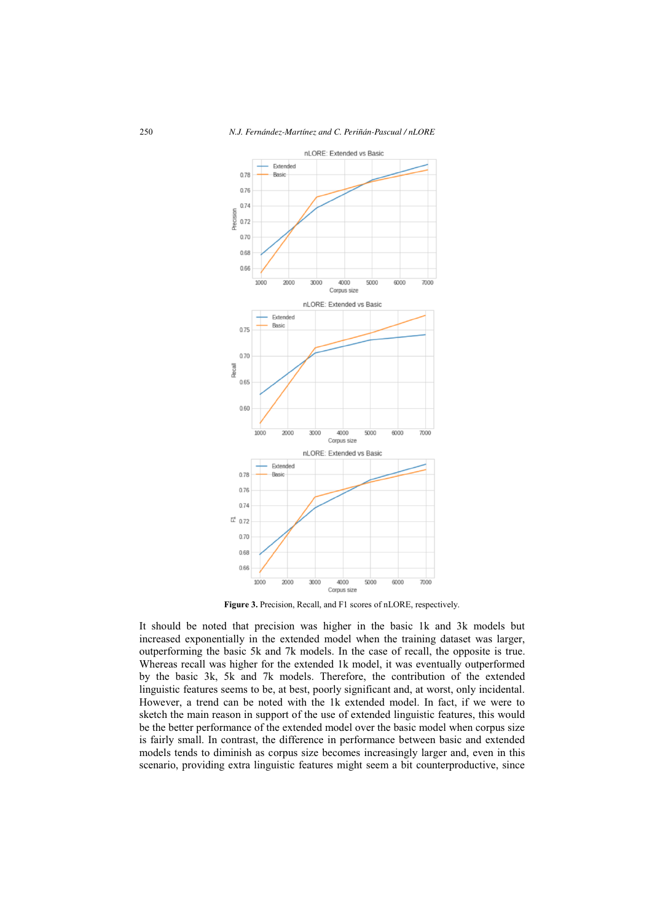

**Figure 3.** Precision, Recall, and F1 scores of nLORE, respectively.

It should be noted that precision was higher in the basic 1k and 3k models but increased exponentially in the extended model when the training dataset was larger, outperforming the basic 5k and 7k models. In the case of recall, the opposite is true. Whereas recall was higher for the extended 1k model, it was eventually outperformed by the basic 3k, 5k and 7k models. Therefore, the contribution of the extended linguistic features seems to be, at best, poorly significant and, at worst, only incidental. However, a trend can be noted with the 1k extended model. In fact, if we were to sketch the main reason in support of the use of extended linguistic features, this would be the better performance of the extended model over the basic model when corpus size is fairly small. In contrast, the difference in performance between basic and extended models tends to diminish as corpus size becomes increasingly larger and, even in this scenario, providing extra linguistic features might seem a bit counterproductive, since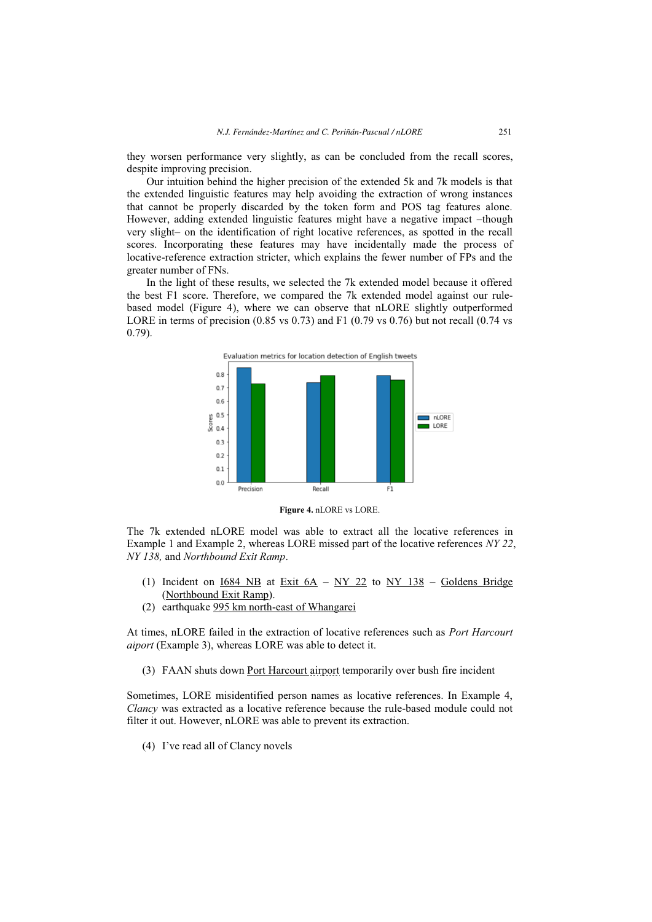they worsen performance very slightly, as can be concluded from the recall scores, despite improving precision.

Our intuition behind the higher precision of the extended 5k and 7k models is that the extended linguistic features may help avoiding the extraction of wrong instances that cannot be properly discarded by the token form and POS tag features alone. However, adding extended linguistic features might have a negative impact –though very slight– on the identification of right locative references, as spotted in the recall scores. Incorporating these features may have incidentally made the process of locative-reference extraction stricter, which explains the fewer number of FPs and the greater number of FNs.

In the light of these results, we selected the 7k extended model because it offered the best F1 score. Therefore, we compared the 7k extended model against our rulebased model (Figure 4), where we can observe that nLORE slightly outperformed LORE in terms of precision  $(0.85 \text{ vs } 0.73)$  and F1  $(0.79 \text{ vs } 0.76)$  but not recall  $(0.74 \text{ vs } 0.76)$ 0.79).



**Figure 4.** nLORE vs LORE.

The 7k extended nLORE model was able to extract all the locative references in Example 1 and Example 2, whereas LORE missed part of the locative references *NY 22*, *NY 138,* and *Northbound Exit Ramp*.

- (1) Incident on  $1684 \text{ NB}$  at Exit  $6A NY$  22 to NY 138 Goldens Bridge (Northbound Exit Ramp).
- (2) earthquake 995 km north-east of Whangarei

At times, nLORE failed in the extraction of locative references such as *Port Harcourt aiport* (Example 3), whereas LORE was able to detect it.

(3) FAAN shuts down Port Harcourt airport temporarily over bush fire incident

Sometimes, LORE misidentified person names as locative references. In Example 4, *Clancy* was extracted as a locative reference because the rule-based module could not filter it out. However, nLORE was able to prevent its extraction.

(4) I've read all of Clancy novels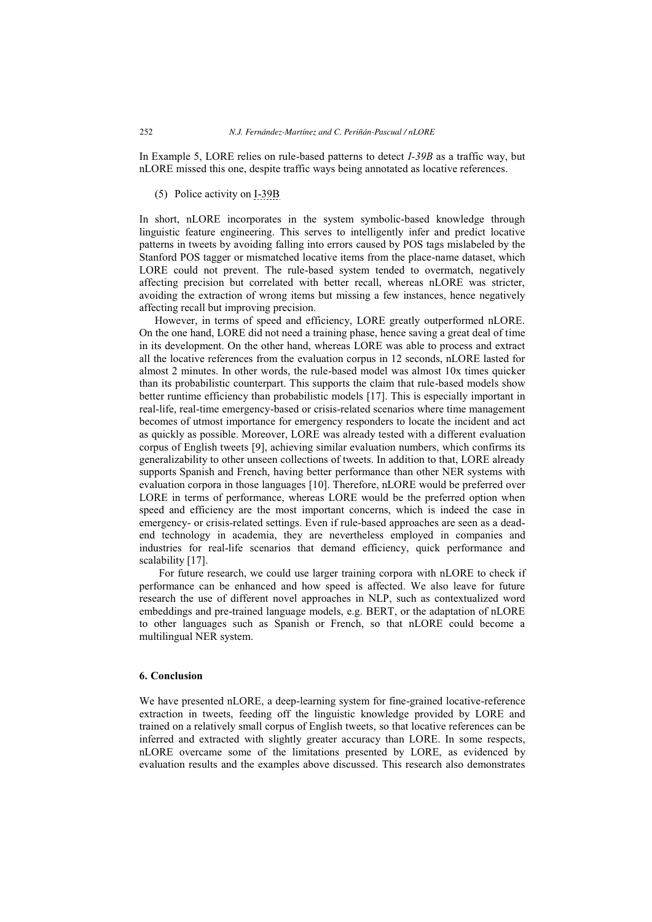In Example 5, LORE relies on rule-based patterns to detect *I-39B* as a traffic way, but nLORE missed this one, despite traffic ways being annotated as locative references.

(5) Police activity on I-39B

In short, nLORE incorporates in the system symbolic-based knowledge through linguistic feature engineering. This serves to intelligently infer and predict locative patterns in tweets by avoiding falling into errors caused by POS tags mislabeled by the Stanford POS tagger or mismatched locative items from the place-name dataset, which LORE could not prevent. The rule-based system tended to overmatch, negatively affecting precision but correlated with better recall, whereas nLORE was stricter, avoiding the extraction of wrong items but missing a few instances, hence negatively affecting recall but improving precision.

However, in terms of speed and efficiency, LORE greatly outperformed nLORE. On the one hand, LORE did not need a training phase, hence saving a great deal of time in its development. On the other hand, whereas LORE was able to process and extract all the locative references from the evaluation corpus in 12 seconds, nLORE lasted for almost 2 minutes. In other words, the rule-based model was almost 10x times quicker than its probabilistic counterpart. This supports the claim that rule-based models show better runtime efficiency than probabilistic models [17]. This is especially important in real-life, real-time emergency-based or crisis-related scenarios where time management becomes of utmost importance for emergency responders to locate the incident and act as quickly as possible. Moreover, LORE was already tested with a different evaluation corpus of English tweets [9], achieving similar evaluation numbers, which confirms its generalizability to other unseen collections of tweets. In addition to that, LORE already supports Spanish and French, having better performance than other NER systems with evaluation corpora in those languages [10]. Therefore, nLORE would be preferred over LORE in terms of performance, whereas LORE would be the preferred option when speed and efficiency are the most important concerns, which is indeed the case in emergency- or crisis-related settings. Even if rule-based approaches are seen as a deadend technology in academia, they are nevertheless employed in companies and industries for real-life scenarios that demand efficiency, quick performance and scalability [17].

For future research, we could use larger training corpora with nLORE to check if performance can be enhanced and how speed is affected. We also leave for future research the use of different novel approaches in NLP, such as contextualized word embeddings and pre-trained language models, e.g. BERT, or the adaptation of nLORE to other languages such as Spanish or French, so that nLORE could become a multilingual NER system.

## **6. Conclusion**

We have presented nLORE, a deep-learning system for fine-grained locative-reference extraction in tweets, feeding off the linguistic knowledge provided by LORE and trained on a relatively small corpus of English tweets, so that locative references can be inferred and extracted with slightly greater accuracy than LORE. In some respects, nLORE overcame some of the limitations presented by LORE, as evidenced by evaluation results and the examples above discussed. This research also demonstrates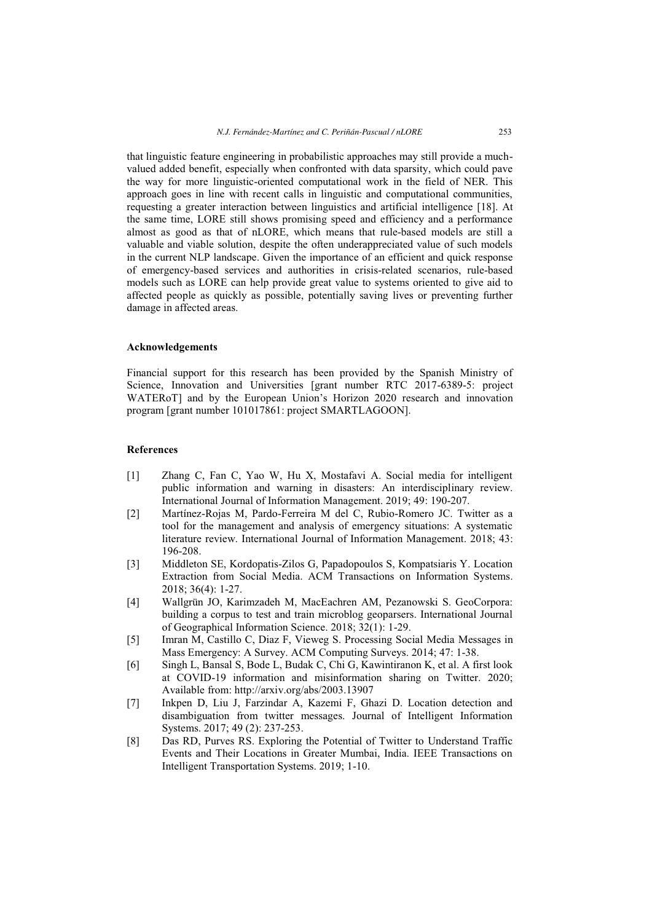that linguistic feature engineering in probabilistic approaches may still provide a muchvalued added benefit, especially when confronted with data sparsity, which could pave the way for more linguistic-oriented computational work in the field of NER. This approach goes in line with recent calls in linguistic and computational communities, requesting a greater interaction between linguistics and artificial intelligence [18]. At the same time, LORE still shows promising speed and efficiency and a performance almost as good as that of nLORE, which means that rule-based models are still a valuable and viable solution, despite the often underappreciated value of such models in the current NLP landscape. Given the importance of an efficient and quick response of emergency-based services and authorities in crisis-related scenarios, rule-based models such as LORE can help provide great value to systems oriented to give aid to affected people as quickly as possible, potentially saving lives or preventing further damage in affected areas.

#### **Acknowledgements**

Financial support for this research has been provided by the Spanish Ministry of Science, Innovation and Universities [grant number RTC 2017-6389-5: project WATERoT] and by the European Union's Horizon 2020 research and innovation program [grant number 101017861: project SMARTLAGOON].

## **References**

- [1] Zhang C, Fan C, Yao W, Hu X, Mostafavi A. Social media for intelligent public information and warning in disasters: An interdisciplinary review. International Journal of Information Management. 2019; 49: 190-207.
- [2] Martínez-Rojas M, Pardo-Ferreira M del C, Rubio-Romero JC. Twitter as a tool for the management and analysis of emergency situations: A systematic literature review. International Journal of Information Management. 2018; 43: 196-208.
- [3] Middleton SE, Kordopatis-Zilos G, Papadopoulos S, Kompatsiaris Y. Location Extraction from Social Media. ACM Transactions on Information Systems. 2018; 36(4): 1-27.
- [4] Wallgrün JO, Karimzadeh M, MacEachren AM, Pezanowski S. GeoCorpora: building a corpus to test and train microblog geoparsers. International Journal of Geographical Information Science. 2018; 32(1): 1-29.
- [5] Imran M, Castillo C, Diaz F, Vieweg S. Processing Social Media Messages in Mass Emergency: A Survey. ACM Computing Surveys. 2014; 47: 1-38.
- [6] Singh L, Bansal S, Bode L, Budak C, Chi G, Kawintiranon K, et al. A first look at COVID-19 information and misinformation sharing on Twitter. 2020; Available from: http://arxiv.org/abs/2003.13907
- [7] Inkpen D, Liu J, Farzindar A, Kazemi F, Ghazi D. Location detection and disambiguation from twitter messages. Journal of Intelligent Information Systems. 2017; 49 (2): 237-253.
- [8] Das RD, Purves RS. Exploring the Potential of Twitter to Understand Traffic Events and Their Locations in Greater Mumbai, India. IEEE Transactions on Intelligent Transportation Systems. 2019; 1-10.